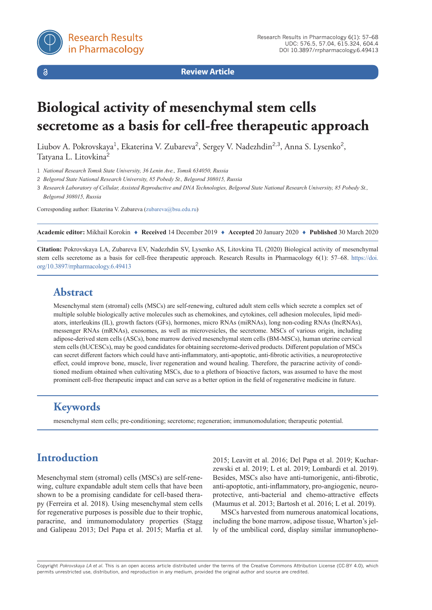$\delta$ 

**Review Article**

# **Biological activity of mesenchymal stem cells secretome as a basis for cell-free therapeutic approach**

Liubov A. Pokrovskaya<sup>1</sup>, Ekaterina V. Zubareva<sup>2</sup>, Sergey V. Nadezhdin<sup>2,3</sup>, Anna S. Lysenko<sup>2</sup>, Tatyana L. Litovkina<sup>2</sup>

1 *National Research Tomsk State University, 36 Lenin Ave., Tomsk 634050, Russia*

2 *Belgorod State National Research University, 85 Pobedy St., Belgorod 308015, Russia*

3 *Research Laboratory of Cellular, Assisted Reproductive and DNA Technologies, Belgorod State National Research University, 85 Pobedy St., Belgorod 308015, Russia*

Corresponding author: Ekaterina V. Zubareva [\(zubareva@bsu.edu.ru\)](mailto:zubareva@bsu.edu.ru)

**Academic editor:** Mikhail Korokin ♦ **Received** 14 December 2019 ♦ **Accepted** 20 January 2020 ♦ **Published** 30 March 2020

**Citation:** Pokrovskaya LA, Zubareva EV, Nadezhdin SV, Lysenko AS, Litovkina TL (2020) Biological activity of mesenchymal stem cells secretome as a basis for cell-free therapeutic approach. Research Results in Pharmacology 6(1): 57–68. [https://doi.](https://doi.org/10.3897/rrpharmacology.4.29905) [org/10.3897/rrpharmacology.6.49413](https://doi.org/10.3897/rrpharmacology.4.29905)

## **Abstract**

Mesenchymal stem (stromal) cells (MSCs) are self-renewing, cultured adult stem cells which secrete a complex set of multiple soluble biologically active molecules such as chemokines, and cytokines, cell adhesion molecules, lipid mediators, interleukins (IL), growth factors (GFs), hormones, micro RNAs (miRNAs), long non-coding RNAs (lncRNAs), messenger RNAs (mRNAs), exosomes, as well as microvesicles, the secretome. MSCs of various origin, including adipose-derived stem cells (ASCs), bone marrow derived mesenchymal stem cells (BM-MSCs), human uterine cervical stem cells (hUCESCs), may be good candidates for obtaining secretome-derived products. Different population of MSCs can secret different factors which could have anti-inflammatory, anti-apoptotic, anti-fibrotic activities, a neuroprotective effect, could improve bone, muscle, liver regeneration and wound healing. Therefore, the paracrine activity of conditioned medium obtained when cultivating MSCs, due to a plethora of bioactive factors, was assumed to have the most prominent cell-free therapeutic impact and can serve as a better option in the field of regenerative medicine in future.

# **Keywords**

mesenchymal stem cells; pre-conditioning; secretome; regeneration; immunomodulation; therapeutic potential.

# **Introduction**

Mesenchymal stem (stromal) cells (MSCs) are self-renewing, culture expandable adult stem cells that have been shown to be a promising candidate for cell-based therapy (Ferreira et al. 2018). Using mesenchymal stem cells for regenerative purposes is possible due to their trophic, paracrine, and immunomodulatory properties (Stagg and Galipeau 2013; Del Papa et al. 2015; Marfia et al.

2015; Leavitt et al. 2016; Del Papa et al. 2019; Kucharzewski et al. 2019; L et al. 2019; Lombardi et al. 2019). Besides, MSCs also have anti-tumorigenic, anti-fibrotic, anti-apoptotic, anti-inflammatory, pro-angiogenic, neuroprotective, anti-bacterial and chemo-attractive effects (Maumus et al. 2013; Bartosh et al. 2016; L et al. 2019).

MSCs harvested from numerous anatomical locations, including the bone marrow, adipose tissue, Wharton's jelly of the umbilical cord, display similar immunopheno-

Copyright *Pokrovskaya LA et al.* This is an open access article distributed under the terms of the Creative Commons Attribution License (CC-BY 4.0), which permits unrestricted use, distribution, and reproduction in any medium, provided the original author and source are credited.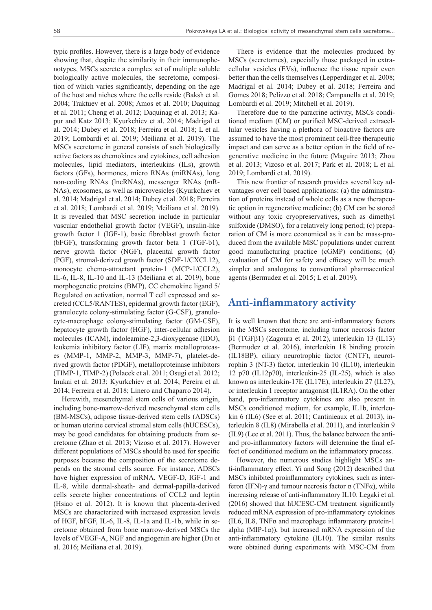typic profiles. However, there is a large body of evidence showing that, despite the similarity in their immunophenotypes, MSCs secrete a complex set of multiple soluble biologically active molecules, the secretome, composition of which varies significantly, depending on the age of the host and niches where the cells reside (Baksh et al. 2004; Traktuev et al. 2008; Amos et al. 2010; Daquinag et al. 2011; Cheng et al. 2012; Daquinag et al. 2013; Kapur and Katz 2013; Kyurkchiev et al. 2014; Madrigal et al. 2014; Dubey et al. 2018; Ferreira et al. 2018; L et al. 2019; Lombardi et al. 2019; Meiliana et al. 2019). The MSCs secretome in general consists of such biologically active factors as chemokines and cytokines, cell adhesion molecules, lipid mediators, interleukins (ILs), growth factors (GFs), hormones, micro RNAs (miRNAs), long non-coding RNAs (lncRNAs), messenger RNAs (mR-NAs), exosomes, as well as microvesicles (Kyurkchiev et al. 2014; Madrigal et al. 2014; Dubey et al. 2018; Ferreira et al. 2018; Lombardi et al. 2019; Meiliana et al. 2019). It is revealed that MSC secretion include in particular vascular endothelial growth factor (VEGF), insulin-like growth factor 1 (IGF-1), basic fibroblast growth factor (bFGF), transforming growth factor beta 1 (TGF-b1), nerve growth factor (NGF), placental growth factor (PGF), stromal-derived growth factor (SDF-1/CXCL12), monocyte chemo-attractant protein-1 (MCP-1/CCL2), IL-6, IL-8, IL-10 and IL-13 (Meiliana et al. 2019), bone morphogenetic proteins (BMP), CC chemokine ligand 5/ Regulated on activation, normal T cell expressed and secreted (CCL5/RANTES), epidermal growth factor (EGF), granulocyte colony-stimulating factor (G-CSF), granulocyte-macrophage colony-stimulating factor (GM-CSF), hepatocyte growth factor (HGF), inter-cellular adhesion molecules (ICAM), indoleamine-2,3-dioxygenase (IDO), leukemia inhibitory factor (LIF), matrix metalloproteases (MMP-1, MMP-2, MMP-3, MMP-7), platelet-derived growth factor (PDGF), metalloproteinase inhibitors (TIMP-1, TIMP-2) (Polacek et al. 2011; Osugi et al. 2012; Inukai et al. 2013; Kyurkchiev et al. 2014; Pereira et al. 2014; Ferreira et al. 2018; Linero and Chaparro 2014).

Herewith, mesenchymal stem cells of various origin, including bone-marrow-derived mesenchymal stem cells (BM-MSCs), adipose tissue-derived stem cells (ADSCs) or human uterine cervical stromal stem cells (hUCESCs), may be good candidates for obtaining products from secretome (Zhao et al. 2013; Vizoso et al. 2017). However different populations of MSCs should be used for specific purposes because the composition of the secretome depends on the stromal cells source. For instance, ADSCs have higher expression of mRNA, VEGF-D, IGF-1 and IL-8, while dermal-sheath- and dermal-papilla-derived cells secrete higher concentrations of CCL2 and leptin (Hsiao et al. 2012). It is known that placenta-derived MSCs are characterized with increased expression levels of HGF, bFGF, IL-6, IL-8, IL-1a and IL-1b, while in secretome obtained from bone marrow-derived MSCs the levels of VEGF-A, NGF and angiogenin are higher (Du et al. 2016; Meiliana et al. 2019).

There is evidence that the molecules produced by MSCs (secretomes), especially those packaged in extracellular vesicles (EVs), influence the tissue repair even better than the cells themselves (Lepperdinger et al. 2008; Madrigal et al. 2014; Dubey et al. 2018; Ferreira and Gomes 2018; Pelizzo et al. 2018; Campanella et al. 2019; Lombardi et al. 2019; Mitchell et al. 2019).

Therefore due to the paracrine activity, MSCs conditioned medium (CM) or purified MSC-derived extracellular vesicles having a plethora of bioactive factors are assumed to have the most prominent cell-free therapeutic impact and can serve as a better option in the field of regenerative medicine in the future (Maguire 2013; Zhou et al. 2013; Vizoso et al. 2017; Park et al. 2018; L et al. 2019; Lombardi et al. 2019).

This new frontier of research provides several key advantages over cell based applications: (a) the administration of proteins instead of whole cells as a new therapeutic option in regenerative medicine; (b) CM can be stored without any toxic cryopreservatives, such as dimethyl sulfoxide (DMSO), for a relatively long period; (c) preparation of CM is more economical as it can be mass-produced from the available MSC populations under current good manufacturing practice (cGMP) conditions; (d) evaluation of CM for safety and efficacy will be much simpler and analogous to conventional pharmaceutical agents (Bermudez et al. 2015; L et al. 2019).

#### **Anti-inflammatory activity**

It is well known that there are anti-inflammatory factors in the MSCs secretome, including tumor necrosis factor β1 (TGFβ1) (Zagoura et al. 2012), interleukin 13 (IL13) (Bermudez et al. 2016), interleukin 18 binding protein (IL18BP), ciliary neurotrophic factor (CNTF), neurotrophin 3 (NT-3) factor, interleukin 10 (IL10), interleukin 12 p70 (IL12p70), interleukin-25 (IL-25), which is also known as interleukin-17E (IL17E), interleukin 27 (IL27), or interleukin 1 receptor antagonist (IL1RA). On the other hand, pro-inflammatory cytokines are also present in MSCs conditioned medium, for example, IL1b, interleukin 6 (IL6) (See et al. 2011; Cantinieaux et al. 2013), interleukin 8 (IL8) (Mirabella et al. 2011), and interleukin 9 (IL9) (Lee et al. 2011). Thus, the balance between the antiand pro-inflammatory factors will determine the final effect of conditioned medium on the inflammatory process.

However, the numerous studies highlight MSCs anti-inflammatory effect. Yi and Song (2012) described that MSCs inhibited proinflammatory cytokines, such as interferon (IFN)-γ and tumour necrosis factor α (TNFα), while increasing release of anti-inflammatory IL10. Legaki et al. (2016) showed that hUCESC-CM treatment significantly reduced mRNA expression of pro-inflammatory cytokines (IL6, IL8, TNFα and macrophage inflammatory protein-1 alpha (MIP-1 $\alpha$ )), but increased mRNA expression of the anti-inflammatory cytokine (IL10). The similar results were obtained during experiments with MSC-CM from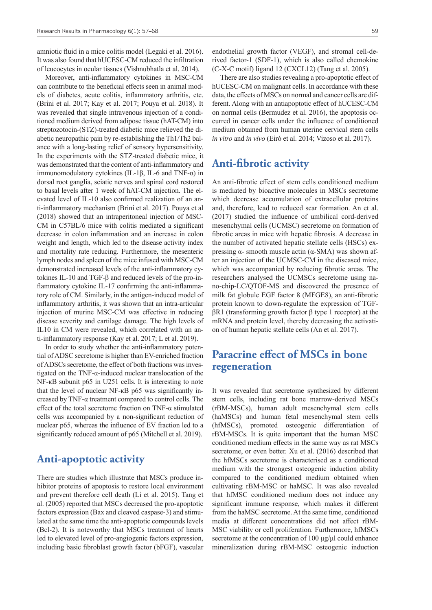amniotic fluid in a mice colitis model (Legaki et al. 2016). It was also found that hUCESC-CM reduced the infiltration of leucocytes in ocular tissues (Vishnubhatla et al. 2014).

Moreover, anti-inflammatory cytokines in MSC-CM can contribute to the beneficial effects seen in animal models of diabetes, acute colitis, inflammatory arthritis, etc. (Brini et al. 2017; Kay et al. 2017; Pouya et al. 2018). It was revealed that single intravenous injection of a conditioned medium derived from adipose tissue (hAT-CM) into streptozotocin-(STZ)-treated diabetic mice relieved the diabetic neuropathic pain by re-establishing the Th1/Th2 balance with a long-lasting relief of sensory hypersensitivity. In the experiments with the STZ-treated diabetic mice, it was demonstrated that the content of anti-inflammatory and immunomodulatory cytokines (IL-1β, IL-6 and TNF-α) in dorsal root ganglia, sciatic nerves and spinal cord restored to basal levels after 1 week of hAT-CM injection. The elevated level of IL-10 also confirmed realization of an anti-inflammatory mechanism (Brini et al. 2017). Pouya et al (2018) showed that an intraperitoneal injection of MSC-CM in C57BL/6 mice with colitis mediated a significant decrease in colon inflammation and an increase in colon weight and length, which led to the disease activity index and mortality rate reducing. Furthermore, the mesenteric lymph nodes and spleen of the mice infused with MSC-CM demonstrated increased levels of the anti-inflammatory cytokines IL-10 and TGF-β and reduced levels of the pro-inflammatory cytokine IL-17 confirming the anti-inflammatory role of CM. Similarly, in the antigen-induced model of inflammatory arthritis, it was shown that an intra-articular injection of murine MSC-CM was effective in reducing disease severity and cartilage damage. The high levels of IL10 in CM were revealed, which correlated with an anti-inflammatory response (Kay et al. 2017; L et al. 2019).

In order to study whether the anti-inflammatory potential of ADSC secretome is higher than EV-enriched fraction of ADSCs secretome, the effect of both fractions was investigated on the TNF-α-induced nuclear translocation of the NF-κB subunit p65 in U251 cells. It is interesting to note that the level of nuclear NF-κB p65 was significantly increased by TNF-α treatment compared to control cells. The effect of the total secretome fraction on TNF-α stimulated cells was accompanied by a non-significant reduction of nuclear p65, whereas the influence of EV fraction led to a significantly reduced amount of p65 (Mitchell et al. 2019).

#### **Anti-apoptotic activity**

There are studies which illustrate that MSCs produce inhibitor proteins of apoptosis to restore local environment and prevent therefore cell death (Li et al. 2015). Tang et al. (2005) reported that MSCs decreased the pro-apoptotic factors expression (Bax and cleaved caspase-3) and stimulated at the same time the anti-apoptotic compounds levels (Bcl-2). It is noteworthy that MSCs treatment of hearts led to elevated level of pro-angiogenic factors expression, including basic fibroblast growth factor (bFGF), vascular

endothelial growth factor (VEGF), and stromal cell-derived factor-1 (SDF-1), which is also called chemokine (C-X-C motif) ligand 12 (CXCL12) (Tang et al. 2005).

There are also studies revealing a pro-apoptotic effect of hUCESC-CM on malignant cells. In accordance with these data, the effects of MSCs on normal and cancer cells are different. Along with an antiapoptotic effect of hUCESC-CM on normal cells (Bermudez et al. 2016), the apoptosis occurred in cancer cells under the influence of conditioned medium obtained from human uterine cervical stem cells *in vitro* and *in vivo* (Eiró et al. 2014; Vizoso et al. 2017).

#### **Anti-fibrotic activity**

An anti-fibrotic effect of stem cells conditioned medium is mediated by bioactive molecules in MSCs secretome which decrease accumulation of extracellular proteins and, therefore, lead to reduced scar formation. An et al. (2017) studied the influence of umbilical cord-derived mesenchymal cells (UCMSC) secretome on formation of fibrotic areas in mice with hepatic fibrosis. A decrease in the number of activated hepatic stellate cells (HSCs) expressing α- smooth muscle actin (α-SMA) was shown after an injection of the UCMSC-CM in the diseased mice, which was accompanied by reducing fibrotic areas. The researchers analysed the UCMSCs secretome using nano-chip-LC/QTOF-MS and discovered the presence of milk fat globule EGF factor 8 (MFGE8), an anti-fibrotic protein known to down-regulate the expression of TGFβR1 (transforming growth factor β type 1 receptor) at the mRNA and protein level, thereby decreasing the activation of human hepatic stellate cells (An et al. 2017).

## **Paracrine effect of MSCs in bone regeneration**

It was revealed that secretome synthesized by different stem cells, including rat bone marrow-derived MSCs (rBM-MSCs), human adult mesenchymal stem cells (haMSCs) and human fetal mesenchymal stem cells (hfMSCs), promoted osteogenic differentiation of rBM-MSCs. It is quite important that the human MSC conditioned medium effects in the same way as rat MSCs secretome, or even better. Xu et al. (2016) described that the hfMSCs secretome is characterised as a conditioned medium with the strongest osteogenic induction ability compared to the conditioned medium obtained when cultivating rBM-MSC or haMSC. It was also revealed that hfMSC conditioned medium does not induce any significant immune response, which makes it different from the haMSC secretome. At the same time, conditioned media at different concentrations did not affect rBM-MSC viability or cell proliferation. Furthermore, hfMSCs secretome at the concentration of  $100 \mu g/\mu l$  could enhance mineralization during rBM-MSC osteogenic induction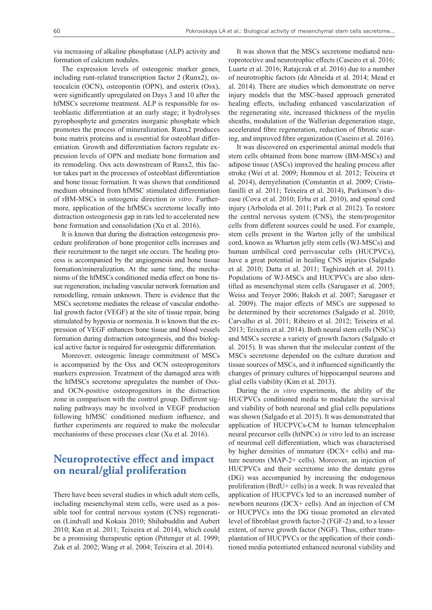via increasing of alkaline phosphatase (ALP) activity and formation of calcium nodules.

The expression levels of osteogenic marker genes, including runt-related transcription factor 2 (Runx2), osteocalcin (OCN), osteopontin (OPN), and osterix (Osx), were significantly upregulated on Days 3 and 10 after the hfMSCs secretome treatment. ALP is responsible for osteoblastic differentiation at an early stage; it hydrolyses pyrophosphyte and generates inorganic phosphate which promotes the process of mineralization. Runx2 produces bone matrix proteins and is essential for osteoblast differentiation. Growth and differentiation factors regulate expression levels of OPN and mediate bone formation and its remodeling. Osx acts downstream of Runx2, this factor takes part in the processes of osteoblast differentiation and bone tissue formation. It was shown that conditioned medium obtained from hfMSC stimulated differentiation of rBM-MSCs in osteogenic direction *in vitro*. Furthermore, application of the hfMSCs secretome locally into distraction osteogenesis gap in rats led to accelerated new bone formation and consolidation (Xu et al. 2016).

It is known that during the distraction osteogenesis procedure proliferation of bone progenitor cells increases and their recruitment to the target site occurs. The healing process is accompanied by the angiogenesis and bone tissue formation/mineralization. At the same time, the mechanisms of the hfMSCs conditioned media effect on bone tissue regeneration, including vascular network formation and remodelling, remain unknown. There is evidence that the MSCs secretome mediates the release of vascular endothelial growth factor (VEGF) at the site of tissue repair, being stimulated by hypoxia or normoxia. It is known that the expression of VEGF enhances bone tissue and blood vessels formation during distraction osteogenesis, and this biological active factor is required for osteogenic differentiation.

Moreover, osteogenic lineage commitment of MSCs is accompanied by the Osx and OCN osteoprogenitors markers expression. Treatment of the damaged area with the hfMSCs secretome upregulates the number of Osxand OCN-positive osteoprogenitors in the distraction zone in comparison with the control group. Different signaling pathways may be involved in VEGF production following hfMSC conditioned medium influence, and further experiments are required to make the molecular mechanisms of these processes clear (Xu et al. 2016).

# **Neuroprotective effect and impact on neural/glial proliferation**

There have been several studies in which adult stem cells, including mesenchymal stem cells, were used as a possible tool for central nervous system (CNS) regeneration (Lindvall and Kokaia 2010; Shihabuddin and Aubert 2010; Kan et al. 2011; Teixeira et al. 2014), which could be a promising therapeutic option (Pittenger et al. 1999; Zuk et al. 2002; Wang et al. 2004; Teixeira et al. 2014).

It was shown that the MSCs secretome mediated neuroprotective and neurotrophic effects (Caseiro et al. 2016; Luarte et al. 2016; Ratajczak et al. 2016) due to a number of neurotrophic factors (de Almeida et al. 2014; Mead et al. 2014). There are studies which demonstrate on nerve injury models that the MSC-based approach generated healing effects, including enhanced vascularization of the regenerating site, increased thickness of the myelin sheaths, modulation of the Wallerian degeneration stage, accelerated fibre regeneration, reduction of fibrotic scaring, and improved fibre organization (Caseiro et al. 2016).

It was discovered on experimental animal models that stem cells obtained from bone marrow (BM-MSCs) and adipose tissue (ASCs) improved the healing process after stroke (Wei et al. 2009; Honmou et al. 2012; Teixeira et al. 2014), demyelination (Constantin et al. 2009; Cristofanilli et al. 2011; Teixeira et al. 2014), Parkinson's disease (Cova et al. 2010; Erba et al. 2010), and spinal cord injury (Arboleda et al. 2011; Park et al. 2012). To restore the central nervous system (CNS), the stem/progenitor cells from different sources could be used. For example, stem cells present in the Warton jelly of the umbilical cord, known as Wharton jelly stem cells (WJ-MSCs) and human umbilical cord perivascular cells (HUCPVCs), have a great potential in healing CNS injuries (Salgado et al. 2010; Datta et al. 2011; Taghizadeh et al. 2011). Populations of WJ-MSCs and HUCPVCs are also identified as mesenchymal stem cells (Sarugaser et al. 2005; Weiss and Troyer 2006; Baksh et al. 2007; Sarugaser et al. 2009). The major effects of MSCs are supposed to be determined by their secretomes (Salgado et al. 2010; Carvalho et al. 2011; Ribeiro et al. 2012; Teixeira et al. 2013; Teixeira et al. 2014). Both neural stem cells (NSCs) and MSCs secrete a variety of growth factors (Salgado et al. 2015). It was shown that the molecular content of the MSCs secretome depended on the culture duration and tissue sources of MSCs, and it influenced significantly the changes of primary cultures of hippocampal neurons and glial cells viability (Kim et al. 2013).

During the *in vitro* experiments, the ability of the HUCPVCs conditioned media to modulate the survival and viability of both neuronal and glial cells populations was shown (Salgado et al. 2015). It was demonstrated that application of HUCPVCs-CM to human telencephalon neural precursor cells (htNPCs) *in vitro* led to an increase of neuronal cell differentiation, which was characterised by higher densities of immature (DCX+ cells) and mature neurons (MAP-2+ cells). Moreover, an injection of HUCPVCs and their secretome into the dentate gyrus (DG) was accompanied by increasing the endogenous proliferation (BrdU+ cells) in a week. It was revealed that application of HUCPVCs led to an increased number of newborn neurons (DCX+ cells). And an injection of CM or HUCPVCs into the DG tissue promoted an elevated level of fibroblast growth factor-2 (FGF-2) and, to a lesser extent, of nerve growth factor (NGF). Thus, either transplantation of HUCPVCs or the application of their conditioned media potentiated enhanced neuronal viability and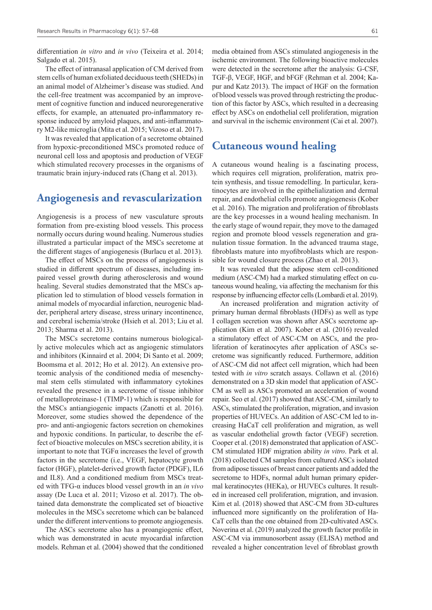differentiation *in vitro* and *in vivo* (Teixeira et al. 2014; Salgado et al. 2015).

The effect of intranasal application of CM derived from stem cells of human exfoliated deciduous teeth (SHEDs) in an animal model of Alzheimer's disease was studied. And the cell-free treatment was accompanied by an improvement of cognitive function and induced neuroregenerative effects, for example, an attenuated pro-inflammatory response induced by amyloid plaques, and anti-inflammatory M2-like microglia (Mita et al. 2015; Vizoso et al. 2017).

It was revealed that application of a secretome obtained from hypoxic-preconditioned MSCs promoted reduce of neuronal cell loss and apoptosis and production of VEGF which stimulated recovery processes in the organisms of traumatic brain injury-induced rats (Chang et al. 2013).

#### **Angiogenesis and revascularization**

Angiogenesis is a process of new vasculature sprouts formation from pre-existing blood vessels. This process normally occurs during wound healing. Numerous studies illustrated a particular impact of the MSCs secretome at the different stages of angiogenesis (Burlacu et al. 2013).

The effect of MSCs on the process of angiogenesis is studied in different spectrum of diseases, including impaired vessel growth during atherosclerosis and wound healing. Several studies demonstrated that the MSCs application led to stimulation of blood vessels formation in animal models of myocardial infarction, neurogenic bladder, peripheral artery disease, stress urinary incontinence, and cerebral ischemia/stroke (Hsieh et al. 2013; Liu et al. 2013; Sharma et al. 2013).

The MSCs secretome contains numerous biologically active molecules which act as angiogenic stimulators and inhibitors (Kinnaird et al. 2004; Di Santo et al. 2009; Boomsma et al. 2012; Ho et al. 2012). An extensive proteomic analysis of the conditioned media of mesenchymal stem cells stimulated with inflammatory cytokines revealed the presence in a secretome of tissue inhibitor of metalloproteinase-1 (TIMP-1) which is responsible for the MSCs antiangiogenic impacts (Zanotti et al. 2016). Moreover, some studies showed the dependence of the pro- and anti-angiogenic factors secretion on chemokines and hypoxic conditions. In particular, to describe the effect of bioactive molecules on MSCs secretion ability, it is important to note that TGFα increases the level of growth factors in the secretome (i.e., VEGF, hepatocyte growth factor (HGF), platelet-derived growth factor (PDGF), IL6 and IL8). And a conditioned medium from MSCs treated with TFG-α induces blood vessel growth in an *in vivo* assay (De Luca et al. 2011; Vizoso et al. 2017). The obtained data demonstrate the complicated set of bioactive molecules in the MSCs secretome which can be balanced under the different interventions to promote angiogenesis.

The ASCs secretome also has a proangiogenic effect, which was demonstrated in acute myocardial infarction models. Rehman et al. (2004) showed that the conditioned

media obtained from ASCs stimulated angiogenesis in the ischemic environment. The following bioactive molecules were detected in the secretome after the analysis: G-CSF, TGF-β, VEGF, HGF, and bFGF (Rehman et al. 2004; Kapur and Katz 2013). The impact of HGF on the formation of blood vessels was proved through restricting the production of this factor by ASCs, which resulted in a decreasing effect by ASCs on endothelial cell proliferation, migration and survival in the ischemic environment (Cai et al. 2007).

# **Cutaneous wound healing**

A cutaneous wound healing is a fascinating process, which requires cell migration, proliferation, matrix protein synthesis, and tissue remodelling. In particular, keratinocytes are involved in the epithelialization and dermal repair, and endothelial cells promote angiogenesis (Kober et al. 2016). The migration and proliferation of fibroblasts are the key processes in a wound healing mechanism. In the early stage of wound repair, they move to the damaged region and promote blood vessels regeneration and granulation tissue formation. In the advanced trauma stage, fibroblasts mature into myofibroblasts which are responsible for wound closure process (Zhao et al. 2013).

It was revealed that the adipose stem cell-conditioned medium (ASC-CM) had a marked stimulating effect on cutaneous wound healing, via affecting the mechanism for this response by influencing effector cells (Lombardi et al. 2019).

An increased proliferation and migration activity of primary human dermal fibroblasts (HDFs) as well as type I collagen secretion was shown after ASCs secretome application (Kim et al. 2007). Kober et al. (2016) revealed a stimulatory effect of ASC-CM on ASCs, and the proliferation of keratinocytes after application of ASCs secretome was significantly reduced. Furthermore, addition of ASC-CM did not affect cell migration, which had been tested with *in vitro* scratch assays. Collawn et al. (2016) demonstrated on a 3D skin model that application of ASC-CM as well as ASCs promoted an acceleration of wound repair. Seo et al. (2017) showed that ASC-CM, similarly to ASCs, stimulated the proliferation, migration, and invasion properties of HUVECs. An addition of ASC-CM led to increasing HaCaT cell proliferation and migration, as well as vascular endothelial growth factor (VEGF) secretion. Cooper et al. (2018) demonstrated that application of ASC-CM stimulated HDF migration ability *in vitro*. Park et al. (2018) collected CM samples from cultured ASCs isolated from adipose tissues of breast cancer patients and added the secretome to HDFs, normal adult human primary epidermal keratinocytes (HEKa), or HUVECs cultures. It resulted in increased cell proliferation, migration, and invasion. Kim et al. (2018) showed that ASC-CM from 3D-cultures influenced more significantly on the proliferation of Ha-CaT cells than the one obtained from 2D-cultivated ASCs. Noverina et al. (2019) analyzed the growth factor profile in ASC-CM via immunosorbent assay (ELISA) method and revealed a higher concentration level of fibroblast growth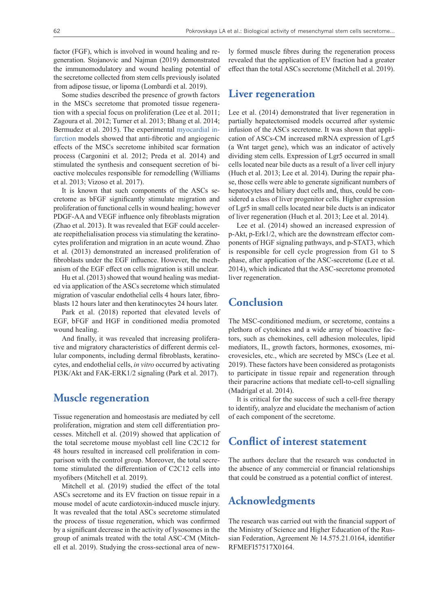factor (FGF), which is involved in wound healing and regeneration. Stojanovic and Najman (2019) demonstrated the immunomodulatory and wound healing potential of the secretome collected from stem cells previously isolated from adipose tissue, or lipoma (Lombardi et al. 2019).

Some studies described the presence of growth factors in the MSCs secretome that promoted tissue regeneration with a special focus on proliferation (Lee et al. 2011; Zagoura et al. 2012; Turner et al. 2013; Bhang et al. 2014; Bermudez et al. 2015). The experimental [myocardial in](https://www.multitran.com/m.exe?s=myocardial+infarction&l1=1&l2=2)[farction](https://www.multitran.com/m.exe?s=myocardial+infarction&l1=1&l2=2) models showed that anti-fibrotic and angiogenic effects of the MSCs secretome inhibited scar formation process (Cargonini et al. 2012; Preda et al. 2014) and stimulated the synthesis and consequent secretion of bioactive molecules responsible for remodelling (Williams et al. 2013; Vizoso et al. 2017).

It is known that such components of the ASCs secretome as bFGF significantly stimulate migration and proliferation of functional cells in wound healing; however PDGF-AA and VEGF influence only fibroblasts migration (Zhao et al. 2013). It was revealed that EGF could accelerate reepithelialisation process via stimulating the keratinocytes proliferation and migration in an acute wound. Zhao et al. (2013) demonstrated an increased proliferation of fibroblasts under the EGF influence. However, the mechanism of the EGF effect on cells migration is still unclear.

Hu et al. (2013) showed that wound healing was mediated via application of the ASCs secretome which stimulated migration of vascular endothelial cells 4 hours later, fibroblasts 12 hours later and then keratinocytes 24 hours later.

Park et al. (2018) reported that elevated levels of EGF, bFGF and HGF in conditioned media promoted wound healing.

And finally, it was revealed that increasing proliferative and migratory characteristics of different dermis cellular components, including dermal fibroblasts, keratinocytes, and endothelial cells, *in vitro* occurred by activating PI3K/Akt and FAK-ERK1/2 signaling (Park et al. 2017).

### **Muscle regeneration**

Tissue regeneration and homeostasis are mediated by cell proliferation, migration and stem cell differentiation processes. Mitchell et al. (2019) showed that application of the total secretome mouse myoblast cell line C2C12 for 48 hours resulted in increased cell proliferation in comparison with the control group. Moreover, the total secretome stimulated the differentiation of C2C12 cells into myofibers (Mitchell et al. 2019).

Mitchell et al. (2019) studied the effect of the total ASCs secretome and its EV fraction on tissue repair in a mouse model of acute cardiotoxin-induced muscle injury. It was revealed that the total ASCs secretome stimulated the process of tissue regeneration, which was confirmed by a significant decrease in the activity of lysosomes in the group of animals treated with the total ASC-CM (Mitchell et al. 2019). Studying the cross-sectional area of newly formed muscle fibres during the regeneration process revealed that the application of EV fraction had a greater effect than the total ASCs secretome (Mitchell et al. 2019).

#### **Liver regeneration**

Lee et al. (2014) demonstrated that liver regeneration in partially hepatectomised models occurred after systemic infusion of the ASCs secretome. It was shown that application of ASCs-CM increased mRNA expression of Lgr5 (a Wnt target gene), which was an indicator of actively dividing stem cells. Expression of Lgr5 occurred in small cells located near bile ducts as a result of a liver cell injury (Huch et al. 2013; Lee et al. 2014). During the repair phase, those cells were able to generate significant numbers of hepatocytes and biliary duct cells and, thus, could be considered a class of liver progenitor cells. Higher expression of Lgr5 in small cells located near bile ducts is an indicator of liver regeneration (Huch et al. 2013; Lee et al. 2014).

Lee et al. (2014) showed an increased expression of p-Akt, p-Erk1/2, which are the downstream effector components of HGF signaling pathways, and p-STAT3, which is responsible for cell cycle progression from G1 to S phase, after application of the ASC-secretome (Lee et al. 2014), which indicated that the ASC-secretome promoted liver regeneration.

## **Conclusion**

The MSC-conditioned medium, or secretome, contains a plethora of cytokines and a wide array of bioactive factors, such as chemokines, cell adhesion molecules, lipid mediators, IL, growth factors, hormones, exosomes, microvesicles, etc., which are secreted by MSCs (Lee et al. 2019). These factors have been considered as protagonists to participate in tissue repair and regeneration through their paracrine actions that mediate cell-to-cell signalling (Madrigal et al. 2014).

It is critical for the success of such a cell-free therapy to identify, analyze and elucidate the mechanism of action of each component of the secretome.

## **Conflict of interest statement**

The authors declare that the research was conducted in the absence of any commercial or financial relationships that could be construed as a potential conflict of interest.

# **Acknowledgments**

The research was carried out with the financial support of the Ministry of Science and Higher Education of the Russian Federation, Agreement № 14.575.21.0164, identifier RFMEFI57517X0164.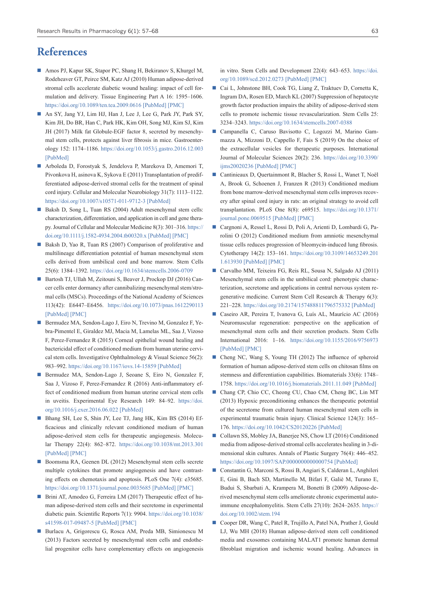## **References**

- Amos PJ, Kapur SK, Stapor PC, Shang H, Bekiranov S, Khurgel M, Rodeheaver GT, Peirce SM, Katz AJ (2010) Human adipose-derived stromal cells accelerate diabetic wound healing: impact of cell formulation and delivery. Tissue Engineering Part A 16: 1595–1606. <https://doi.org/10.1089/ten.tea.2009.0616> [\[PubMed\]](https://www.ncbi.nlm.nih.gov/pubmed/20038211) [\[PMC\]](https://www.ncbi.nlm.nih.gov/pmc/articles/PMC2952117/)
- An SY, Jang YJ, Lim HJ, Han J, Lee J, Lee G, Park JY, Park SY, Kim JH, Do BR, Han C, Park HK, Kim OH, Song MJ, Kim SJ, Kim JH (2017) Milk fat Globule-EGF factor 8, secreted by mesenchymal stem cells, protects against liver fibrosis in mice. Gastroenterology 152: 1174–1186. <https://doi.org/10.1053/j.gastro.2016.12.003> [\[PubMed\]](https://www.ncbi.nlm.nih.gov/pubmed/27956229)
- Arboleda D, Forostyak S, Jendelova P, Marekova D, Amemori T, Pivonkova H, asinova K, Sykova E (2011) Transplantation of predifferentiated adipose-derived stromal cells for the treatment of spinal cord injury. Cellular and Molecular Neurobiology 31(7): 1113–1122. <https://doi.org/10.1007/s10571-011-9712-3> [\[PubMed\]](https://www.ncbi.nlm.nih.gov/pubmed/21630007)
- Baksh D, Song L, Tuan RS (2004) Adult mesenchymal stem cells: characterization, differentiation, and application in cell and gene therapy. Journal of Cellular and Molecular Medicine 8(3): 301–316. [https://](https://doi.org/10.1111/j.1582-4934.2004.tb00320.x) [doi.org/10.1111/j.1582-4934.2004.tb00320.x](https://doi.org/10.1111/j.1582-4934.2004.tb00320.x) [\[PubMed\]](https://www.ncbi.nlm.nih.gov/pubmed/15491506) [\[PMC\]](https://www.ncbi.nlm.nih.gov/pmc/articles/PMC6740223/)
- Baksh D, Yao R, Tuan RS (2007) Comparison of proliferative and multilineage differentiation potential of human mesenchymal stem cells derived from umbilical cord and bone marrow. Stem Cells 25(6): 1384–1392. <https://doi.org/10.1634/stemcells.2006-0709>
- Bartosh TJ, Ullah M, Zeitouni S, Beaver J, Prockop DJ (2016) Cancer cells enter dormancy after cannibalizing mesenchymal stem/stromal cells (MSCs). Proceedings of the National Academy of Sciences 113(42): E6447–E6456. <https://doi.org/10.1073/pnas.1612290113> [\[PubMed\]](https://www.ncbi.nlm.nih.gov/pubmed/27698134) [\[PMC\]](https://www.ncbi.nlm.nih.gov/pmc/articles/PMC5081643/)
- Bermudez MA, Sendon-Lago J, Eiro N, Trevino M, Gonzalez F, Yebra-Pimentel E, Giraldez MJ, Macia M, Lamelas ML, Saa J, Vizoso F, Perez-Fernandez R (2015) Corneal epithelial wound healing and bactericidal effect of conditioned medium from human uterine cervical stem cells. Investigative Ophthalmology & Visual Science 56(2): 983–992.<https://doi.org/10.1167/iovs.14-15859> [\[PubMed\]](https://www.ncbi.nlm.nih.gov/pubmed/25613942)
- Bermudez MA, Sendon-Lago J, Seoane S, Eiro N, Gonzalez F, Saa J, Vizoso F, Perez-Fernandez R (2016) Anti-inflammatory effect of conditioned medium from human uterine cervical stem cells in uveitis. Experimental Eye Research 149: 84–92. [https://doi.](https://doi.org/10.1016/j.exer.2016.06.022) [org/10.1016/j.exer.2016.06.022](https://doi.org/10.1016/j.exer.2016.06.022) [\[PubMed\]](https://www.ncbi.nlm.nih.gov/pubmed/27381329)
- Bhang SH, Lee S, Shin JY, Lee TJ, Jang HK, Kim BS (2014) Efficacious and clinically relevant conditioned medium of human adipose-derived stem cells for therapeutic angiogenesis. Molecular Therapy 22(4): 862–872. <https://doi.org/10.1038/mt.2013.301> [\[PubMed\]](https://www.ncbi.nlm.nih.gov/pubmed/24413377) [\[PMC\]](https://www.ncbi.nlm.nih.gov/pmc/articles/PMC3982496/)
- Boomsma RA, Geenen DL (2012) Mesenchymal stem cells secrete multiple cytokines that promote angiogenesis and have contrasting effects on chemotaxis and apoptosis. PLoS One 7(4): e35685. <https://doi.org/10.1371/journal.pone.0035685> [\[PubMed\]](https://www.ncbi.nlm.nih.gov/pubmed/22558198) [\[PMC\]](https://www.ncbi.nlm.nih.gov/pmc/articles/PMC3338452/)
- Brini AT, Amodeo G, Ferreira LM (2017) Therapeutic effect of human adipose-derived stem cells and their secretome in experimental diabetic pain. Scientific Reports 7(1): 9904. [https://doi.org/10.1038/](https://doi.org/10.1038/s41598-017-09487-5) [s41598-017-09487-5](https://doi.org/10.1038/s41598-017-09487-5) [\[PubMed\]](https://www.ncbi.nlm.nih.gov/pubmed/28851944) [\[PMC\]](https://www.ncbi.nlm.nih.gov/pmc/articles/PMC5575274/)
- Burlacu A, Grigorescu G, Rosca AM, Preda MB, Simionescu M (2013) Factors secreted by mesenchymal stem cells and endothelial progenitor cells have complementary effects on angiogenesis

in vitro. Stem Cells and Development 22(4): 643–653. [https://doi.](https://doi.org/10.1089/scd.2012.0273) [org/10.1089/scd.2012.0273](https://doi.org/10.1089/scd.2012.0273) [\[PubMed\]](https://www.ncbi.nlm.nih.gov/pubmed/22947186) [\[PMC\]](https://www.ncbi.nlm.nih.gov/pmc/articles/PMC3564466/)

- Cai L, Johnstone BH, Cook TG, Liang Z, Traktuev D, Cornetta K, Ingram DA, Rosen ED, March KL (2007) Suppression of hepatocyte growth factor production impairs the ability of adipose-derived stem cells to promote ischemic tissue revascularization. Stem Cells 25: 3234–3243. <https://doi.org/10.1634/stemcells.2007-0388>
- Campanella C, Caruso Bavisotto C, Logozzi M, Marino Gammazza A, Mizzoni D, Cappello F, Fais S (2019) On the choice of the extracellular vesicles for therapeutic purposes. International Journal of Molecular Sciences 20(2): 236. [https://doi.org/10.3390/](https://doi.org/10.3390/ijms20020236) [ijms20020236](https://doi.org/10.3390/ijms20020236) [\[PubMed\]](https://www.ncbi.nlm.nih.gov/pubmed/30634425) [\[PMC\]](https://www.ncbi.nlm.nih.gov/pmc/articles/PMC6359369/)
- Cantinieaux D, Quertainmont R, Blacher S, Rossi L, Wanet T, Noël A, Brook G, Schoenen J, Franzen R (2013) Conditioned medium from bone marrow-derived mesenchymal stem cells improves recovery after spinal cord injury in rats: an original strategy to avoid cell transplantation. PLoS One 8(8): e69515. [https://doi.org/10.1371/](https://doi.org/10.1371/journal.pone.0069515) [journal.pone.0069515](https://doi.org/10.1371/journal.pone.0069515) [\[PubMed\]](https://www.ncbi.nlm.nih.gov/pubmed/24013448) [\[PMC\]](https://www.ncbi.nlm.nih.gov/pmc/articles/PMC3754952/)
- Cargnoni A, Ressel L, Rossi D, Poli A, Arienti D, Lombardi G, Parolini O (2012) Conditioned medium from amniotic mesenchymal tissue cells reduces progression of bleomycin-induced lung fibrosis. Cytotherapy 14(2): 153–161. [https://doi.org/10.3109/14653249.201](https://doi.org/10.3109/14653249.2011.613930) [1.613930](https://doi.org/10.3109/14653249.2011.613930) [\[PubMed\]](https://www.ncbi.nlm.nih.gov/pubmed/21954836) [\[PMC\]](https://www.ncbi.nlm.nih.gov/pmc/articles/PMC3279140/)
- Carvalho MM, Teixeira FG, Reis RL, Sousa N, Salgado AJ (2011) Mesenchymal stem cells in the umbilical cord: phenotypic characterization, secretome and applications in central nervous system regenerative medicine. Current Stem Cell Research & Therapy 6(3): 221–228. <https://doi.org/10.2174/157488811796575332> [\[PubMed\]](https://www.ncbi.nlm.nih.gov/pubmed/21476975)
- Caseiro AR, Pereira T, Ivanova G, Luís AL, Maurício AC (2016) Neuromuscular regeneration: perspective on the application of mesenchymal stem cells and their secretion products. Stem Cells International 2016: 1–16. <https://doi.org/10.1155/2016/9756973> [\[PubMed\]](https://www.ncbi.nlm.nih.gov/pubmed/26880998) [\[PMC\]](https://www.ncbi.nlm.nih.gov/pmc/articles/PMC4736584/)
- Cheng NC, Wang S, Young TH (2012) The influence of spheroid formation of human adipose-derived stem cells on chitosan films on stemness and differentiation capabilities. Biomaterials 33(6): 1748– 1758. <https://doi.org/10.1016/j.biomaterials.2011.11.049> [\[PubMed\]](https://www.ncbi.nlm.nih.gov/pubmed/22153870)
- Chang CP, Chio CC, Cheong CU, Chao CM, Cheng BC, Lin MT (2013) Hypoxic preconditioning enhances the therapeutic potential of the secretome from cultured human mesenchymal stem cells in experimental traumatic brain injury. Clinical Science 124(3): 165– 176. <https://doi.org/10.1042/CS20120226> [\[PubMed\]](https://www.ncbi.nlm.nih.gov/pubmed/22876972)
- Collawn SS, Mobley JA, Banerjee NS, Chow LT (2016) Conditioned media from adipose-derived stromal cells accelerates healing in 3-dimensional skin cultures. Annals of Plastic Surgery 76(4): 446–452. <https://doi.org/10.1097/SAP.0000000000000754> [\[PubMed\]](https://www.ncbi.nlm.nih.gov/pubmed/26954733)
- Constantin G, Marconi S, Rossi B, Angiari S, Calderan L, Anghileri E, Gini B, Bach SD, Martinello M, Bifari F, Galiè M, Turano E, Budui S, Sbarbati A, Krampera M, Bonetti B (2009) Adipose-derived mesenchymal stem cells ameliorate chronic experimental autoimmune encephalomyelitis. Stem Cells 27(10): 2624–2635. [https://](https://doi.org/10.1002/stem.194) [doi.org/10.1002/stem.194](https://doi.org/10.1002/stem.194)
- Cooper DR, Wang C, Patel R, Trujillo A, Patel NA, Prather J, Gould LJ, Wu MH (2018) Human adipose-derived stem cell conditioned media and exosomes containing MALAT1 promote human dermal fibroblast migration and ischemic wound healing. Advances in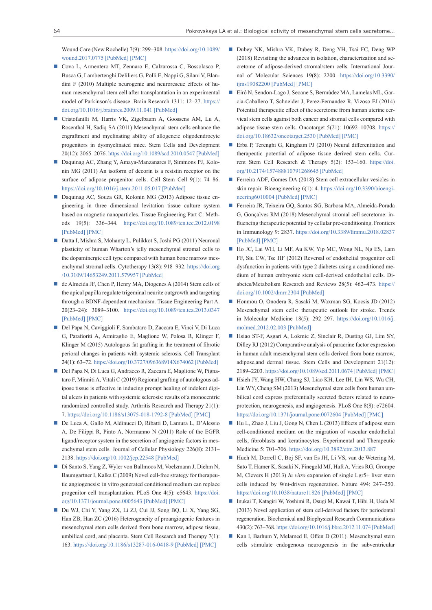Wound Care (New Rochelle) 7(9): 299–308. [https://doi.org/10.1089/](https://doi.org/10.1089/wound.2017.0775) [wound.2017.0775](https://doi.org/10.1089/wound.2017.0775) [\[PubMed\]](https://www.ncbi.nlm.nih.gov/pubmed/30263873) [\[PMC\]](https://www.ncbi.nlm.nih.gov/pmc/articles/PMC6158770/)

- Cova L, Armentero MT, Zennaro E, Calzarossa C, Bossolasco P, Busca G, Lambertenghi Deliliers G, Polli E, Nappi G, Silani V, Blandini F (2010) Multiple neurogenic and neurorescue effects of human mesenchymal stem cell after transplantation in an experimental model of Parkinson's disease. Brain Research 1311: 12–27. [https://](https://doi.org/10.1016/j.brainres.2009.11.041) [doi.org/10.1016/j.brainres.2009.11.041](https://doi.org/10.1016/j.brainres.2009.11.041) [\[PubMed\]](https://www.ncbi.nlm.nih.gov/pubmed/19945443)
- Cristofanilli M, Harris VK, Zigelbaum A, Goossens AM, Lu A, Rosenthal H, Sadiq SA (2011) Mesenchymal stem cells enhance the engraftment and myelinating ability of allogeneic oligodendrocyte progenitors in dysmyelinated mice. Stem Cells and Development 20(12): 2065–2076.<https://doi.org/10.1089/scd.2010.0547> [\[PubMed\]](https://www.ncbi.nlm.nih.gov/pubmed/21299379)
- Daquinag AC, Zhang Y, Amaya-Manzanares F, Simmons PJ, Kolonin MG (2011) An isoform of decorin is a resistin receptor on the surface of adipose progenitor cells. Cell Stem Cell 9(1): 74–86. <https://doi.org/10.1016/j.stem.2011.05.017> [\[PubMed\]](https://www.ncbi.nlm.nih.gov/pubmed/21683670)
- Daquinag AC, Souza GR, Kolonin MG (2013) Adipose tissue engineering in three dimensional levitation tissue culture system based on magnetic nanoparticles. Tissue Engineering Part C: Methods 19(5): 336–344. <https://doi.org/10.1089/ten.tec.2012.0198> [\[PubMed\]](https://www.ncbi.nlm.nih.gov/pubmed/23017116) [\[PMC\]](https://www.ncbi.nlm.nih.gov/pmc/articles/PMC3603558/)
- Datta I, Mishra S, Mohanty L, Pulikkot S, Joshi PG (2011) Neuronal plasticity of human Wharton's jelly mesenchymal stromal cells to the dopaminergic cell type compared with human bone marrow mesenchymal stromal cells. Cytotherapy 13(8): 918–932. [https://doi.org](https://doi.org/10.3109/14653249.2011.579957) [/10.3109/14653249.2011.579957](https://doi.org/10.3109/14653249.2011.579957) [\[PubMed\]](https://www.ncbi.nlm.nih.gov/pubmed/21696238)
- de Almeida JF, Chen P, Henry MA, Diogenes A (2014) Stem cells of the apical papilla regulate trigeminal neurite outgrowth and targeting through a BDNF-dependent mechanism. Tissue Engineering Part A. 20(23–24): 3089–3100. <https://doi.org/10.1089/ten.tea.2013.0347> [\[PubMed\]](https://www.ncbi.nlm.nih.gov/pubmed/24837134) [\[PMC\]](https://www.ncbi.nlm.nih.gov/pmc/articles/PMC4259194/)
- Del Papa N, Caviggioli F, Sambataro D, Zaccara E, Vinci V, Di Luca G, Parafioriti A, Armiraglio E, Maglione W, Polosa R, Klinger F, Klinger M (2015) Autologous fat grafting in the treatment of fibrotic perioral changes in patients with systemic sclerosis. Cell Transplant 24(1): 63–72.<https://doi.org/10.3727/096368914X674062> [\[PubMed\]](https://www.ncbi.nlm.nih.gov/pubmed/25606975)
- Del Papa N, Di Luca G, Andracco R, Zaccara E, Maglione W, Pignataro F, Minniti A, Vitali C (2019) Regional grafting of autologous adipose tissue is effective in inducing prompt healing of indolent digital ulcers in patients with systemic sclerosis: results of a monocentric randomized controlled study. Arthritis Research and Therapy 21(1): 7.<https://doi.org/10.1186/s13075-018-1792-8> [\[PubMed\]](https://www.ncbi.nlm.nih.gov/pubmed/30616671) [\[PMC\]](https://www.ncbi.nlm.nih.gov/pmc/articles/PMC6322261/)
- De Luca A, Gallo M, Aldinucci D, Ribatti D, Lamura L, D'Alessio A, De Filippi R, Pinto A, Normanno N (2011) Role of the EGFR ligand/receptor system in the secretion of angiogenic factors in mesenchymal stem cells. Journal of Cellular Physiology 226(8): 2131– 2138.<https://doi.org/10.1002/jcp.22548> [\[PubMed\]](https://www.ncbi.nlm.nih.gov/pubmed/21520065)
- Di Santo S, Yang Z, Wyler von Ballmoos M, Voelzmann J, Diehm N, Baumgartner I, Kalka C (2009) Novel cell-free strategy for therapeutic angiogenesis: in vitro generated conditioned medium can replace progenitor cell transplantation. PLoS One 4(5): e5643. [https://doi.](https://doi.org/10.1371/journal.pone.0005643) [org/10.1371/journal.pone.0005643](https://doi.org/10.1371/journal.pone.0005643) [\[PubMed\]](https://www.ncbi.nlm.nih.gov/pubmed/19479066) [\[PMC\]](https://www.ncbi.nlm.nih.gov/pmc/articles/PMC2682571/)
- Du WJ, Chi Y, Yang ZX, Li ZJ, Cui JJ, Song BQ, Li X, Yang SG, Han ZB, Han ZC (2016) Heterogeneity of proangiogenic features in mesenchymal stem cells derived from bone marrow, adipose tissue, umbilical cord, and placenta. Stem Cell Research and Therapy 7(1): 163.<https://doi.org/10.1186/s13287-016-0418-9> [\[PubMed\]](https://www.ncbi.nlm.nih.gov/pubmed/27832825) [\[PMC\]](https://www.ncbi.nlm.nih.gov/pmc/articles/PMC5103372/)
- Dubey NK, Mishra VK, Dubey R, Deng YH, Tsai FC, Deng WP (2018) Revisiting the advances in isolation, characterization and secretome of adipose-derived stromal/stem cells. International Journal of Molecular Sciences 19(8): 2200. [https://doi.org/10.3390/](https://doi.org/10.3390/ijms19082200) [ijms19082200](https://doi.org/10.3390/ijms19082200) [\[PubMed\]](https://www.ncbi.nlm.nih.gov/pubmed/30060511) [\[PMC\]](https://www.ncbi.nlm.nih.gov/pmc/articles/PMC6121360/)
- Eiró N, Sendon-Lago J, Seoane S, Bermúdez MA, Lamelas ML, Garcia-Caballero T, Schneider J, Perez-Fernandez R, Vizoso FJ (2014) Potential therapeutic effect of the secretome from human uterine cervical stem cells against both cancer and stromal cells compared with adipose tissue stem cells. Oncotarget 5(21): 10692–10708. [https://](https://doi.org/10.18632/oncotarget.2530) [doi.org/10.18632/oncotarget.2530](https://doi.org/10.18632/oncotarget.2530) [\[PubMed\]](https://www.ncbi.nlm.nih.gov/pubmed/25296979) [\[PMC\]](https://www.ncbi.nlm.nih.gov/pmc/articles/PMC4279403/)
- Erba P, Terenghi G, Kingham PJ (2010) Neural differentiation and therapeutic potential of adipose tissue derived stem cells. Current Stem Cell Research & Therapy 5(2): 153–160. [https://doi.](https://doi.org/10.2174/157488810791268645) [org/10.2174/157488810791268645](https://doi.org/10.2174/157488810791268645) [\[PubMed\]](https://www.ncbi.nlm.nih.gov/pubmed/19941451)
- Ferreira ADF, Gomes DA (2018) Stem cell extracellular vesicles in skin repair. Bioengineering 6(1): 4. [https://doi.org/10.3390/bioengi](https://doi.org/10.3390/bioengineering6010004)[neering6010004](https://doi.org/10.3390/bioengineering6010004) [\[PubMed\]](https://www.ncbi.nlm.nih.gov/pubmed/30598033) [\[PMC\]](https://www.ncbi.nlm.nih.gov/pmc/articles/PMC6466099/)
- Ferreira JR, Teixeira GO, Santos SG, Barbosa MA, Almeida-Porada G, Gonçalves RM (2018) Mesenchymal stromal cell secretome: influencing therapeutic potential by cellular pre-conditioning. Frontiers in Immunology 9: 2837. <https://doi.org/10.3389/fimmu.2018.02837> [\[PubMed\]](https://www.ncbi.nlm.nih.gov/pubmed/30564236) [\[PMC\]](https://www.ncbi.nlm.nih.gov/pmc/articles/PMC6288292/)
- Ho JC, Lai WH, Li MF, Au KW, Yip MC, Wong NL, Ng ES, Lam FF, Siu CW, Tse HF (2012) Reversal of endothelial progenitor cell dysfunction in patients with type 2 diabetes using a conditioned medium of human embryonic stem cell-derived endothelial cells. Diabetes/Metabolism Research and Reviews 28(5): 462–473. [https://](https://doi.org/10.1002/dmrr.2304) [doi.org/10.1002/dmrr.2304](https://doi.org/10.1002/dmrr.2304) [\[PubMed\]](https://www.ncbi.nlm.nih.gov/pubmed/22492468)
- Honmou O, Onodera R, Sasaki M, Waxman SG, Kocsis JD (2012) Mesenchymal stem cells: therapeutic outlook for stroke. Trends in Molecular Medicine 18(5): 292–297. [https://doi.org/10.1016/j.](https://doi.org/10.1016/j.molmed.2012.02.003) [molmed.2012.02.003](https://doi.org/10.1016/j.molmed.2012.02.003) [\[PubMed\]](https://www.ncbi.nlm.nih.gov/pubmed/22459358)
- Hsiao ST-F, Asgari A, Lokmic Z, Sinclair R, Dusting GJ, Lim SY, Dilley RJ (2012) Comparative analysis of paracrine factor expression in human adult mesenchymal stem cells derived from bone marrow, adipose,and dermal tissue. Stem Cells and Development 21(12): 2189–2203. <https://doi.org/10.1089/scd.2011.0674> [\[PubMed\]](https://www.ncbi.nlm.nih.gov/pubmed/22188562) [\[PMC\]](https://www.ncbi.nlm.nih.gov/pmc/articles/PMC3411362/)
- Hsieh JY, Wang HW, Chang SJ, Liao KH, Lee IH, Lin WS, Wu CH, Lin WY, Cheng SM (2013) Mesenchymal stem cells from human umbilical cord express preferentially secreted factors related to neuroprotection, neurogenesis, and angiogenesis. PLoS One 8(8): e72604. <https://doi.org/10.1371/journal.pone.0072604> [\[PubMed\]](https://www.ncbi.nlm.nih.gov/pubmed/23991127) [\[PMC\]](https://www.ncbi.nlm.nih.gov/pmc/articles/PMC3749979/)
- Hu L, Zhao J, Liu J, Gong N, Chen L (2013) Effects of adipose stem cell-conditioned medium on the migration of vascular endothelial cells, fibroblasts and keratinocytes. Experimental and Therapeutic Medicine 5: 701–706. <https://doi.org/10.3892/etm.2013.887>
- Huch M, Dorrell C, Boj SF, van Es JH, Li VS, van de Wetering M, Sato T, Hamer K, Sasaki N, Finegold MJ, Haft A, Vries RG, Grompe M, Clevers H (2013) *In vitro* expansion of single Lgr5+ liver stem cells induced by Wnt-driven regeneration. Nature 494: 247–250. <https://doi.org/10.1038/nature11826> [\[PubMed\]](https://www.ncbi.nlm.nih.gov/pubmed/23354049) [\[PMC\]](https://www.ncbi.nlm.nih.gov/pmc/articles/PMC3634804/)
- Inukai T, Katagiri W, Yoshimi R, Osugi M, Kawai T, Hibi H, Ueda M (2013) Novel application of stem cell-derived factors for periodontal regeneration. Biochemical and Biophysical Research Communications 430(2): 763–768.<https://doi.org/10.1016/j.bbrc.2012.11.074> [\[PubMed\]](https://www.ncbi.nlm.nih.gov/pubmed/23206704)
- Kan I, Barhum Y, Melamed E, Offen D (2011). Mesenchymal stem cells stimulate endogenous neurogenesis in the subventricular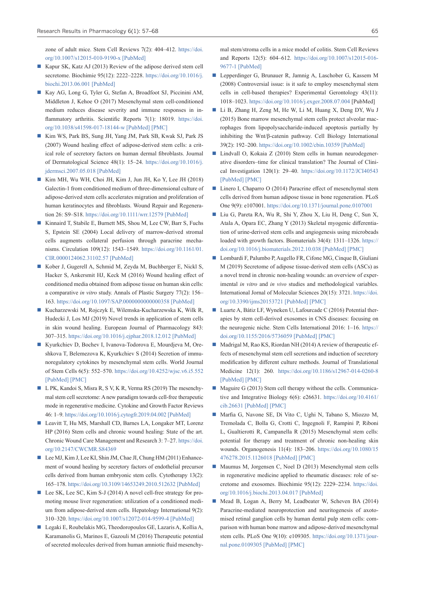zone of adult mice. Stem Cell Reviews 7(2): 404–412. [https://doi.](https://doi.org/10.1007/s12015-010-9190-x) [org/10.1007/s12015-010-9190-x](https://doi.org/10.1007/s12015-010-9190-x) [\[PubMed\]](https://www.ncbi.nlm.nih.gov/pubmed/20830611)

- Kapur SK, Katz AJ (2013) Review of the adipose derived stem cell secretome. Biochimie 95(12): 2222–2228. [https://doi.org/10.1016/j.](https://doi.org/10.1016/j.biochi.2013.06.001) [biochi.2013.06.001](https://doi.org/10.1016/j.biochi.2013.06.001) [\[PubMed\]](https://www.ncbi.nlm.nih.gov/pubmed/23770442)
- Kay AG, Long G, Tyler G, Stefan A, Broadfoot SJ, Piccinini AM, Middleton J, Kehoe O (2017) Mesenchymal stem cell-conditioned medium reduces disease severity and immune responses in inflammatory arthritis. Scientific Reports 7(1): 18019. [https://doi.](https://doi.org/10.1038/s41598-017-18144-w) [org/10.1038/s41598-017-18144-w](https://doi.org/10.1038/s41598-017-18144-w) [\[PubMed\]](https://www.ncbi.nlm.nih.gov/pubmed/29269885) [\[PMC\]](https://www.ncbi.nlm.nih.gov/pmc/articles/PMC5740178/)
- Kim WS, Park BS, Sung JH, Yang JM, Park SB, Kwak SJ, Park JS (2007) Wound healing effect of adipose-derived stem cells: a critical role of secretory factors on human dermal fibroblasts. Journal of Dermatological Science 48(1): 15–24. [https://doi.org/10.1016/j.](https://doi.org/10.1016/j.jdermsci.2007.05.018) [jdermsci.2007.05.018](https://doi.org/10.1016/j.jdermsci.2007.05.018) [\[PubMed\]](https://www.ncbi.nlm.nih.gov/pubmed/17643966)
- Kim MH, Wu WH, Choi JH, Kim J, Jun JH, Ko Y, Lee JH (2018) Galectin-1 from conditioned medium of three-dimensional culture of adipose-derived stem cells accelerates migration and proliferation of human keratinocytes and fibroblasts. Wound Repair and Regeneration 26: S9–S18. <https://doi.org/10.1111/wrr.12579> [\[PubMed\]](https://www.ncbi.nlm.nih.gov/pubmed/28857355)
- Kinnaird T, Stabile E, Burnett MS, Shou M, Lee CW, Barr S, Fuchs S, Epstein SE (2004) Local delivery of marrow-derived stromal cells augments collateral perfusion through paracrine mechanisms. Circulation 109(12): 1543–1549. [https://doi.org/10.1161/01.](https://doi.org/10.1161/01.CIR.0000124062.31102.57) [CIR.0000124062.31102.57](https://doi.org/10.1161/01.CIR.0000124062.31102.57) [\[PubMed\]](https://www.ncbi.nlm.nih.gov/pubmed/15023891)
- Kober J, Gugerell A, Schmid M, Zeyda M, Buchberger E, Nickl S, Hacker S, Ankersmit HJ, Keck M (2016) Wound healing effect of conditioned media obtained from adipose tissue on human skin cells: a comparative *in vitro* study. Annals of Plastic Surgery 77(2): 156– 163.<https://doi.org/10.1097/SAP.0000000000000358> [\[PubMed\]](https://www.ncbi.nlm.nih.gov/pubmed/25275476)
- Kucharzewski M, Rojczyk E, Wilemska-Kucharzewska K, Wilk R, Hudecki J, Los MJ (2019) Novel trends in application of stem cells in skin wound healing. European Journal of Pharmacology 843: 307–315.<https://doi.org/10.1016/j.ejphar.2018.12.012> [\[PubMed\]](https://www.ncbi.nlm.nih.gov/pubmed/30537490)
- Kyurkchiev D, Bochev I, Ivanova-Todorova E, Mourdjeva M, Oreshkova T, Belemezova K, Kyurkchiev S (2014) Secretion of immunoregulatory cytokines by mesenchymal stem cells. World Journal of Stem Cells 6(5): 552–570. <https://doi.org/10.4252/wjsc.v6.i5.552> [\[PubMed\]](https://www.ncbi.nlm.nih.gov/pubmed/25426252) [\[PMC\]](https://www.ncbi.nlm.nih.gov/pmc/articles/PMC4178255/)
- L PK, Kandoi S, Misra R, S V, K R, Verma RS (2019) The mesenchymal stem cell secretome: A new paradigm towards cell-free therapeutic mode in regenerative medicine. Cytokine and Growth Factor Reviews 46: 1–9. <https://doi.org/10.1016/j.cytogfr.2019.04.002> [\[PubMed\]](https://www.ncbi.nlm.nih.gov/pubmed/30954374)
- Leavitt T, Hu MS, Marshall CD, Barnes LA, Longaker MT, Lorenz HP (2016) Stem cells and chronic wound healing: State of the art. Chronic Wound Care Management and Research 3: 7–27. [https://doi.](https://doi.org/10.2147/CWCMR.S84369) [org/10.2147/CWCMR.S84369](https://doi.org/10.2147/CWCMR.S84369)
- Lee MJ, Kim J, Lee KI, Shin JM, Chae JI, Chung HM (2011) Enhancement of wound healing by secretory factors of endothelial precursor cells derived from human embryonic stem cells. Cytotherapy 13(2): 165–178. <https://doi.org/10.3109/14653249.2010.512632> [\[PubMed\]](https://www.ncbi.nlm.nih.gov/pubmed/21235296)
- Lee SK, Lee SC, Kim S-J (2014) A novel cell-free strategy for promoting mouse liver regeneration: utilization of a conditioned medium from adipose-derived stem cells. Hepatology International 9(2): 310–320.<https://doi.org/10.1007/s12072-014-9599-4> [\[PubMed\]](https://www.ncbi.nlm.nih.gov/pubmed/25788187)
- Legaki E, Roubelakis MG, Theodoropoulos GE, Lazaris A, Kollia A, Karamanolis G, Marinos E, Gazouli M (2016) Therapeutic potential of secreted molecules derived from human amniotic fluid mesenchy-

mal stem/stroma cells in a mice model of colitis. Stem Cell Reviews and Reports 12(5): 604–612. [https://doi.org/10.1007/s12015-016-](https://doi.org/10.1007/s12015-016-9677-1) [9677-1](https://doi.org/10.1007/s12015-016-9677-1) [\[PubMed\]](https://www.ncbi.nlm.nih.gov/pubmed/27503204)

- Lepperdinger G, Brunauer R, Jamnig A, Laschober G, Kassem M (2008) Controversial issue: is it safe to employ mesenchymal stem cells in cell-based therapies? Experimental Gerontology 43(11): 1018–1023. <https://doi.org/10.1016/j.exger.2008.07.004>[PubMed]
- Li B, Zhang H, Zeng M, He W, Li M, Huang X, Deng DY, Wu J (2015) Bone marrow mesenchymal stem cells protect alveolar macrophages from lipopolysaccharide-induced apoptosis partially by inhibiting the Wnt/β-catenin pathway. Cell Biology International 39(2): 192–200.<https://doi.org/10.1002/cbin.10359> [\[PubMed\]](https://www.ncbi.nlm.nih.gov/pubmed/25229877)
- Lindvall O, Kokaia Z (2010) Stem cells in human neurodegenerative disorders–time for clinical translation? The Journal of Clinical Investigation 120(1): 29–40. <https://doi.org/10.1172/JCI40543> [\[PubMed\]](https://www.ncbi.nlm.nih.gov/pubmed/20051634) [\[PMC\]](https://www.ncbi.nlm.nih.gov/pmc/articles/PMC2798697/)
- Linero I, Chaparro O (2014) Paracrine effect of mesenchymal stem cells derived from human adipose tissue in bone regeneration. PLoS One 9(9): e107001.<https://doi.org/10.1371/journal.pone.0107001>
- Liu G, Pareta RA, Wu R, Shi Y, Zhou X, Liu H, Deng C, Sun X, Atala A, Opara EC, Zhang Y (2013) Skeletal myogenic differentiation of urine-derived stem cells and angiogenesis using microbeads loaded with growth factors. Biomaterials 34(4): 1311–1326. [https://](https://doi.org/10.1016/j.biomaterials.2012.10.038) [doi.org/10.1016/j.biomaterials.2012.10.038](https://doi.org/10.1016/j.biomaterials.2012.10.038) [\[PubMed\]](https://www.ncbi.nlm.nih.gov/pubmed/23137393) [\[PMC\]](https://www.ncbi.nlm.nih.gov/pmc/articles/PMC3513922/)
- Lombardi F, Palumbo P, Augello FR, Cifone MG, Cinque B, Giuliani M (2019) Secretome of adipose tissue-derived stem cells (ASCs) as a novel trend in chronic non-healing wounds: an overview of experimental *in vitro* and *in vivo* studies and methodological variables. International Jornal of Molecular Sciences 20(15): 3721. [https://doi.](https://doi.org/10.3390/ijms20153721) [org/10.3390/ijms20153721](https://doi.org/10.3390/ijms20153721) [\[PubMed\]](https://www.ncbi.nlm.nih.gov/pubmed/31366040) [\[PMC\]](https://www.ncbi.nlm.nih.gov/pmc/articles/PMC6696601/)
- Luarte A, Bátiz LF, Wyneken U, Lafourcade C (2016) Potential therapies by stem cell-derived exosomes in CNS diseases: focusing on the neurogenic niche. Stem Cells International 2016: 1–16. [https://](https://doi.org/10.1155/2016/5736059) [doi.org/10.1155/2016/5736059](https://doi.org/10.1155/2016/5736059) [\[PubMed\]](https://www.ncbi.nlm.nih.gov/pubmed/27195011) [\[PMC\]](https://www.ncbi.nlm.nih.gov/pmc/articles/PMC4853949/)
- Madrigal M, Rao KS, Riordan NH (2014) A review of therapeutic effects of mesenchymal stem cell secretions and induction of secretory modification by different culture methods. Journal of Translational Medicine 12(1): 260. <https://doi.org/10.1186/s12967-014-0260-8> [\[PubMed\]](https://www.ncbi.nlm.nih.gov/pubmed/25304688) [\[PMC\]](https://www.ncbi.nlm.nih.gov/pmc/articles/PMC4197270/)
- Maguire G (2013) Stem cell therapy without the cells. Communicative and Integrative Biology 6(6): e26631. [https://doi.org/10.4161/](https://doi.org/10.4161/cib.26631) [cib.26631](https://doi.org/10.4161/cib.26631) [\[PubMed\]](https://www.ncbi.nlm.nih.gov/pubmed/24567776) [\[PMC\]](https://www.ncbi.nlm.nih.gov/pmc/articles/PMC3925653/)
- Marfia G, Navone SE, Di Vito C, Ughi N, Tabano S, Miozzo M, Tremolada C, Bolla G, Crotti C, Ingegnoli F, Rampini P, Riboni L, Gualtierotti R, Campanella R (2015) Mesenchymal stem cells: potential for therapy and treatment of chronic non-healing skin wounds. Organogenesis 11(4): 183–206. [https://doi.org/10.1080/15](https://doi.org/10.1080/15476278.2015.1126018) [476278.2015.1126018](https://doi.org/10.1080/15476278.2015.1126018) [\[PubMed\]](https://www.ncbi.nlm.nih.gov/pubmed/26652928) [\[PMC\]](https://www.ncbi.nlm.nih.gov/pmc/articles/PMC4879897/)
- Maumus M, Jorgensen C, Noel D (2013) Mesenchymal stem cells in regenerative medicine applied to rheumatic diseases: role of secretome and exosomes. Biochimie 95(12): 2229–2234. [https://doi.](https://doi.org/10.1016/j.biochi.2013.04.017) [org/10.1016/j.biochi.2013.04.017](https://doi.org/10.1016/j.biochi.2013.04.017) [\[PubMed\]](https://www.ncbi.nlm.nih.gov/pubmed/23685070)
- Mead B, Logan A, Berry M, Leadbeater W, Scheven BA (2014) Paracrine-mediated neuroprotection and neuritogenesis of axotomised retinal ganglion cells by human dental pulp stem cells: comparison with human bone marrow and adipose-derived mesenchymal stem cells. PLoS One 9(10): e109305. [https://doi.org/10.1371/jour](https://doi.org/10.1371/journal.pone.0109305)[nal.pone.0109305](https://doi.org/10.1371/journal.pone.0109305) [\[PubMed\]](https://www.ncbi.nlm.nih.gov/pubmed/25290916) [\[PMC\]](https://www.ncbi.nlm.nih.gov/pmc/articles/PMC4188599/)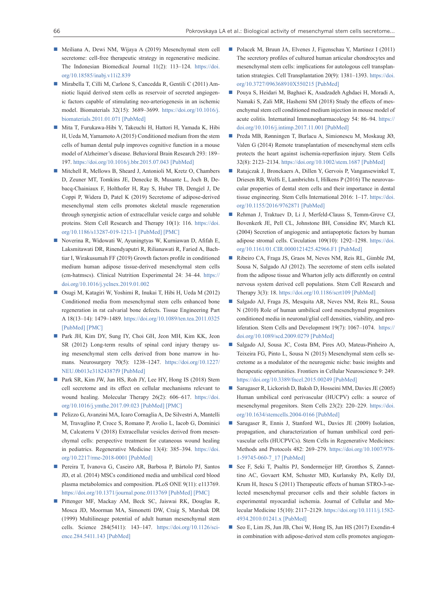- Meiliana A, Dewi NM, Wijaya A (2019) Mesenchymal stem cell secretome: cell-free therapeutic strategy in regenerative medicine. The Indonesian Biomedical Journal 11(2): 113–124. [https://doi.](https://doi.org/10.18585/inabj.v11i2.839) [org/10.18585/inabj.v11i2.839](https://doi.org/10.18585/inabj.v11i2.839)
- Mirabella T, Cilli M, Carlone S, Cancedda R, Gentili C (2011) Amniotic liquid derived stem cells as reservoir of secreted angiogenic factors capable of stimulating neo-arteriogenesis in an ischemic model. Biomaterials 32(15): 3689–3699. [https://doi.org/10.1016/j.](https://doi.org/10.1016/j.biomaterials.2011.01.071) [biomaterials.2011.01.071](https://doi.org/10.1016/j.biomaterials.2011.01.071) [\[PubMed\]](https://www.ncbi.nlm.nih.gov/pubmed/21371750)
- Mita T, Furukawa-Hibi Y, Takeuchi H, Hattori H, Yamada K, Hibi H, Ueda M, Yamamoto A (2015) Conditioned medium from the stem cells of human dental pulp improves cognitive function in a mouse model of Alzheimer's disease. Behavioral Brain Research 293: 189– 197.<https://doi.org/10.1016/j.bbr.2015.07.043> [\[PubMed\]](https://www.ncbi.nlm.nih.gov/pubmed/26210934)
- Mitchell R, Mellows B, Sheard J, Antonioli M, Kretz O, Chambers D, Zeuner MT, Tomkins JE, Denecke B, Musante L, Joch B, Debacq-Chainiaux F, Holthofer H, Ray S, Huber TB, Dengjel J, De Coppi P, Widera D, Patel K (2019) Secretome of adipose-derived mesenchymal stem cells promotes skeletal muscle regeneration through synergistic action of extracellular vesicle cargo and soluble proteins. Stem Cell Research and Therapy 10(1): 116. [https://doi.](https://doi.org/10.1186/s13287-019-1213-1) [org/10.1186/s13287-019-1213-1](https://doi.org/10.1186/s13287-019-1213-1) [\[PubMed\]](https://www.ncbi.nlm.nih.gov/pubmed/30953537) [\[PMC\]](https://www.ncbi.nlm.nih.gov/pmc/articles/PMC6451311/)
- Noverina R, Widowati W, Ayuningtyas W, Kurniawan D, Afifah E, Laksmitawati DR, Rinendyaputri R, Rilianawati R, Faried A, Bachtiar I, Wirakusumah FF (2019) Growth factors profile in conditioned medium human adipose tissue-derived mesenchymal stem cells (cm-hatmscs). Clinical Nutrition Experimental 24: 34–44. [https://](https://doi.org/10.1016/j.yclnex.2019.01.002) [doi.org/10.1016/j.yclnex.2019.01.002](https://doi.org/10.1016/j.yclnex.2019.01.002)
- Osugi M, Katagiri W, Yoshimi R, Inukai T, Hibi H, Ueda M (2012) Conditioned media from mesenchymal stem cells enhanced bone regeneration in rat calvarial bone defects. Tissue Engineering Part A 18(13–14): 1479–1489. <https://doi.org/10.1089/ten.tea.2011.0325> [\[PubMed\]](https://www.ncbi.nlm.nih.gov/pubmed/22443121) [\[PMC\]](https://www.ncbi.nlm.nih.gov/pmc/articles/PMC3397118/)
- Park JH, Kim DY, Sung IY, Choi GH, Jeon MH, Kim KK, [Jeon](file://FILESRV/docs1/Work/JOURNALS/RRPharmacology/RRP6-1%202020/49413/javascript:;)  [SR](file://FILESRV/docs1/Work/JOURNALS/RRPharmacology/RRP6-1%202020/49413/javascript:;) (2012) Long-term results of spinal cord injury therapy using mesenchymal stem cells derived from bone marrow in humans. Neurosurgery 70(5): 1238–1247. [https://doi.org/10.1227/](https://doi.org/10.1227/NEU.0b013e31824387f9) [NEU.0b013e31824387f9](https://doi.org/10.1227/NEU.0b013e31824387f9) [\[PubMed\]](https://www.ncbi.nlm.nih.gov/pubmed/22127044)
- Park SR, Kim JW, Jun HS, Roh JY, Lee HY, Hong IS (2018) Stem cell secretome and its effect on cellular mechanisms relevant to wound healing. Molecular Therapy 26(2): 606–617. [https://doi.](https://doi.org/10.1016/j.ymthe.2017.09.023) [org/10.1016/j.ymthe.2017.09.023](https://doi.org/10.1016/j.ymthe.2017.09.023) [\[PubMed\]](https://www.ncbi.nlm.nih.gov/pubmed/29066165) [\[PMC\]](https://www.ncbi.nlm.nih.gov/pmc/articles/PMC5835016/)
- Pelizzo G, Avanzini MA, Icaro Cornaglia A, De Silvestri A, Mantelli M, Travaglino P, Croce S, Romano P, Avolio L, Iacob G, Dominici M, Calcaterra V (2018) Extracellular vesicles derived from mesenchymal cells: perspective treatment for cutaneous wound healing in pediatrics. Regenerative Medicine 13(4): 385–394. [https://doi.](https://doi.org/10.2217/rme-2018-0001) [org/10.2217/rme-2018-0001](https://doi.org/10.2217/rme-2018-0001) [\[PubMed\]](https://www.ncbi.nlm.nih.gov/pubmed/29985749)
- Pereira T, Ivanova G, Caseiro AR, Barbosa P, Bártolo PJ, Santos JD, et al. (2014) MSCs conditioned media and umbilical cord blood plasma metabolomics and composition. PLoS ONE 9(11): e113769. <https://doi.org/10.1371/journal.pone.0113769> [\[PubMed\]](https://www.ncbi.nlm.nih.gov/pubmed/25423186) [\[PMC\]](https://www.ncbi.nlm.nih.gov/pmc/articles/PMC4244191/)
- Pittenger MF, Mackay AM, Beck SC, Jaiswai RK, Douglas R, Mosca JD, Moorman MA, Simonetti DW, Craig S, Marshak DR (1999) Multilineage potential of adult human mesenchymal stem cells. Science 284(5411): 143–147. [https://doi.org/10.1126/sci](https://doi.org/10.1126/science.284.5411.143)[ence.284.5411.143](https://doi.org/10.1126/science.284.5411.143) [\[PubMed\]](https://www.ncbi.nlm.nih.gov/pubmed/10102814)
- Polacek M, Bruun JA, Elvenes J, Figenschau Y, Martinez I (2011) The secretory profiles of cultured human articular chondrocytes and mesenchymal stem cells: implications for autologous cell transplantation strategies. Cell Transplantation 20(9): 1381–1393. [https://doi.](https://doi.org/10.3727/096368910X550215) [org/10.3727/096368910X550215](https://doi.org/10.3727/096368910X550215) [\[PubMed\]](https://www.ncbi.nlm.nih.gov/pubmed/21176404)
- Pouya S, Heidari M, Baghaei K, Asadzadeh Aghdaei H, Moradi A, Namaki S, [Zali MR,](https://www.sciencedirect.com/science/article/pii/S1567576917304216#!) [Hashemi](https://www.sciencedirect.com/science/article/pii/S1567576917304216#!) SM (2018) Study the effects of mesenchymal stem cell conditioned medium injection in mouse model of acute colitis. Internatinal Immunopharmacology 54: 86–94. [https://](https://doi.org/10.1016/j.intimp.2017.11.001) [doi.org/10.1016/j.intimp.2017.11.001](https://doi.org/10.1016/j.intimp.2017.11.001) [\[PubMed\]](https://www.ncbi.nlm.nih.gov/pubmed/29112894)
- Preda MB, Rønningen T, Burlacu A, Simionescu M, Moskaug JØ, Valen G (2014) Remote transplantation of mesenchymal stem cells protects the heart against ischemia-reperfusion injury. Stem Cells 32(8): 2123–2134. <https://doi.org/10.1002/stem.1687> [\[PubMed\]](https://www.ncbi.nlm.nih.gov/pubmed/24578312)
- Ratajczak J, Bronckaers A, Dillen Y, Gervois P, Vangansewinkel T, Driesen RB, Wolfs E, Lambrichts I, Hilkens P (2016) The neurovascular properties of dental stem cells and their importance in dental tissue engineering. Stem Cells International 2016: 1–17. [https://doi.](https://doi.org/10.1155/2016/9762871) [org/10.1155/2016/9762871](https://doi.org/10.1155/2016/9762871) [\[PubMed\]](https://www.ncbi.nlm.nih.gov/pubmed/27688777)
- Rehman J, Traktuev D, Li J, Merfeld-Clauss S, Temm-Grove CJ, Bovenkerk JE, Pell CL, Johnstone BH, Considine RV, March KL (2004) Secretion of angiogenic and antiapoptotic factors by human adipose stromal cells. Circulation 109(10): 1292–1298. [https://doi.](https://doi.org/10.1161/01.CIR.0000121425.42966.F1) [org/10.1161/01.CIR.0000121425.42966.F1](https://doi.org/10.1161/01.CIR.0000121425.42966.F1) [\[PubMed\]](https://www.ncbi.nlm.nih.gov/pubmed/14993122)
- Ribeiro CA, Fraga JS, Graos M, Neves NM, Reis RL, Gimble JM, Sousa N, Salgado AJ (2012). The secretome of stem cells isolated from the adipose tissue and Wharton jelly acts differently on central nervous system derived cell populations. Stem Cell Research and Therapy 3(3): 18. <https://doi.org/10.1186/scrt109> [\[PubMed\]](https://www.ncbi.nlm.nih.gov/pubmed/22551705)
- Salgado AJ, Fraga JS, Mesquita AR, Neves NM, Reis RL, Sousa N (2010) Role of human umbilical cord mesenchymal progenitors conditioned media in neuronal/glial cell densities, viability, and proliferation. Stem Cells and Development 19(7): 1067–1074. [https://](https://doi.org/10.1089/scd.2009.0279) [doi.org/10.1089/scd.2009.0279](https://doi.org/10.1089/scd.2009.0279) [\[PubMed\]](https://www.ncbi.nlm.nih.gov/pubmed/19705968)
- Salgado AJ, Sousa JC, Costa BM, Pires AO, Mateus-Pinheiro A, Teixeira FG, Pinto L, Sousa N (2015) Mesenchymal stem cells secretome as a modulator of the neurogenic niche: basic insights and therapeutic opportunities. Frontiers in Cellular Neuroscience 9: 249. <https://doi.org/10.3389/fncel.2015.00249> [\[PubMed\]](https://www.ncbi.nlm.nih.gov/pubmed/26217178)
- Sarugaser R, Lickorish D, Baksh D, Hosseini MM, Davies JE (2005) Human umbilical cord perivascular (HUCPV) cells: a source of mesenchymal progenitors. Stem Cells 23(2): 220–229. [https://doi.](https://doi.org/10.1634/stemcells.2004-0166) [org/10.1634/stemcells.2004-0166](https://doi.org/10.1634/stemcells.2004-0166) [\[PubMed\]](https://www.ncbi.nlm.nih.gov/pubmed/15671145)
- Sarugaser R, Ennis J, Stanford WL, Davies JE (2009) Isolation, propagation, and characterization of human umbilical cord perivascular cells (HUCPVCs). Stem Cells in Regenerative Medicines: Methods and Protocols 482: 269–279. [https://doi.org/10.1007/978-](https://doi.org/10.1007/978-1-59745-060-7_17) [1-59745-060-7\\_17](https://doi.org/10.1007/978-1-59745-060-7_17) [\[PubMed\]](https://www.ncbi.nlm.nih.gov/pubmed/19089362)
- See F, Seki T, Psaltis PJ, Sondermeijer HP, Gronthos S, Zannettino AC, Govaert KM, Schuster MD, Kurlansky PA, Kelly DJ, Krum H, Itescu S (2011) Therapeutic effects of human STRO-3-selected mesenchymal precursor cells and their soluble factors in experimental myocardial ischemia. Journal of Cellular and Molecular Medicine 15(10): 2117–2129. [https://doi.org/10.1111/j.1582-](https://doi.org/10.1111/j.1582-4934.2010.01241.x) [4934.2010.01241.x](https://doi.org/10.1111/j.1582-4934.2010.01241.x) [\[PubMed\]](https://www.ncbi.nlm.nih.gov/pubmed/21155976)
- Seo E, Lim JS, Jun JB, Choi W, Hong IS, Jun HS (2017) Exendin-4 in combination with adipose-derived stem cells promotes angiogen-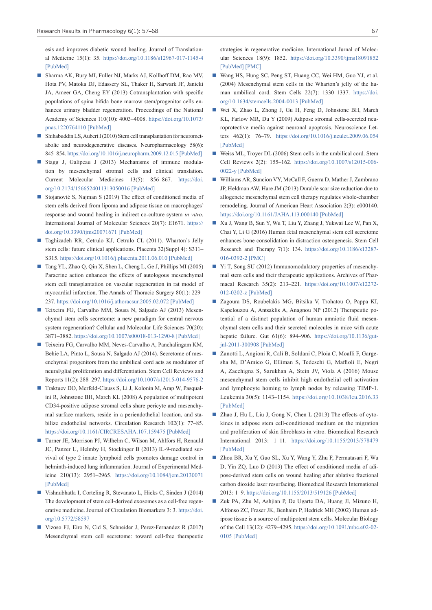esis and improves diabetic wound healing. Journal of Translational Medicine 15(1): 35. <https://doi.org/10.1186/s12967-017-1145-4> [\[PubMed\]](https://www.ncbi.nlm.nih.gov/pubmed/28202074)

- Sharma AK, Bury MI, Fuller NJ, Marks AJ, Kollhoff DM, Rao MV, Hota PV, Matoka DJ, Edassery SL, Thaker H, Sarwark JF, Janicki JA, Ameer GA, Cheng EY (2013) Cotransplantation with specific populations of spina bifida bone marrow stem/progenitor cells enhances urinary bladder regeneration. Proceedings of the National Academy of Sciences 110(10): 4003–4008. [https://doi.org/10.1073/](https://doi.org/10.1073/pnas.1220764110) [pnas.1220764110](https://doi.org/10.1073/pnas.1220764110) [\[PubMed\]](https://www.ncbi.nlm.nih.gov/pubmed/23431178)
- Shihabuddin LS, Aubert I (2010) Stem cell transplantation for neurometabolic and neurodegenerative diseases. Neuropharmacology 58(6): 845–854.<https://doi.org/10.1016/j.neuropharm.2009.12.015> [\[PubMed\]](https://www.ncbi.nlm.nih.gov/pubmed/20036262)
- Stagg J, Galipeau J (2013) Mechanisms of immune modulation by mesenchymal stromal cells and clinical translation. Current Molecular Medicines 13(5): 856–867. [https://doi.](https://doi.org/10.2174/1566524011313050016) [org/10.2174/1566524011313050016](https://doi.org/10.2174/1566524011313050016) [\[PubMed\]](https://www.ncbi.nlm.nih.gov/pubmed/23642066)
- Stojanović S, Najman S (2019) The effect of conditioned media of stem cells derived from lipoma and adipose tissue on macrophages' response and wound healing in indirect co-culture system *in vitro*. International Journal of Molecular Sciences 20(7): E1671. [https://](https://doi.org/10.3390/ijms20071671) [doi.org/10.3390/ijms20071671](https://doi.org/10.3390/ijms20071671) [\[PubMed\]](https://www.ncbi.nlm.nih.gov/pubmed/30987193)
- Taghizadeh RR, Cetrulo KJ, Cetrulo CL (2011). Wharton's Jelly stem cells: future clinical applications. Placenta 32(Suppl 4): S311– S315. <https://doi.org/10.1016/j.placenta.2011.06.010> [\[PubMed\]](https://www.ncbi.nlm.nih.gov/pubmed/21733573)
- Tang YL, Zhao Q, Qin X, Shen L, Cheng L, Ge J, Phillips MI (2005) Paracrine action enhances the effects of autologous mesenchymal stem cell transplantation on vascular regeneration in rat model of myocardial infarction. The Annals of Thoracic Surgery 80(1): 229– 237.<https://doi.org/10.1016/j.athoracsur.2005.02.072> [\[PubMed\]](https://www.ncbi.nlm.nih.gov/pubmed/15975372)
- Teixeira FG, Carvalho MM, Sousa N, Salgado AJ (2013) Mesenchymal stem cells secretome: a new paradigm for central nervous system regeneration? Cellular and Molecular Life Sciences 70(20): 3871–3882.<https://doi.org/10.1007/s00018-013-1290-8> [\[PubMed\]](https://www.ncbi.nlm.nih.gov/pubmed/23456256)
- Teixeira FG, Carvalho MM, Neves-Carvalho A, Panchalingam KM, Behie LA, Pinto L, Sousa N, Salgado AJ (2014). Secretome of mesenchymal progenitors from the umbilical cord acts as modulator of neural/glial proliferation and differentiation. Stem Cell Reviews and Reports 11(2): 288–297.<https://doi.org/10.1007/s12015-014-9576-2>
- Traktuev DO, Merfeld-Clauss S, Li J, Kolonin M, Arap W, Pasqualini R, Johnstone BH, March KL (2008) A population of multipotent CD34-positive adipose stromal cells share pericyte and mesenchymal surface markers, reside in a periendothelial location, and stabilize endothelial networks. Circulation Research 102(1): 77–85. <https://doi.org/10.1161/CIRCRESAHA.107.159475> [\[PubMed\]](https://www.ncbi.nlm.nih.gov/pubmed/17967785)
- Turner JE, Morrison PJ, Wilhelm C, Wilson M, Ahlfors H, Renauld JC, Panzer U, Helmby H, Stockinger B (2013) IL-9-mediated survival of type 2 innate lymphoid cells promotes damage control in helminth-induced lung inflammation. Journal of Experimental Medicine 210(13): 2951–2965. <https://doi.org/10.1084/jem.20130071> [\[PubMed\]](https://www.ncbi.nlm.nih.gov/pubmed/24249111)
- Vishnubhatla I, Corteling R, Stevanato L, Hicks C, Sinden J (2014) The development of stem cell-derived exosomes as a cell-free regenerative medicine. Journal of Circulation Biomarkers 3: 3. [https://doi.](https://doi.org/10.5772/58597) [org/10.5772/58597](https://doi.org/10.5772/58597)
- Vizoso FJ, Eiro N, Cid S, Schneider J, Perez-Fernandez R (2017) Mesenchymal stem cell secretome: toward cell-free therapeutic

strategies in regenerative medicine. International Jurnal of Molecular Sciences 18(9): 1852. <https://doi.org/10.3390/ijms18091852> [\[PubMed\]](https://www.ncbi.nlm.nih.gov/pubmed/28841158) [\[PMC\]](https://www.ncbi.nlm.nih.gov/pmc/articles/PMC5618501/)

- Wang HS, Hung SC, Peng ST, Huang CC, Wei HM, Guo YJ, et al. (2004) Mesenchymal stem cells in the Wharton's jelly of the human umbilical cord. Stem Cells 22(7): 1330–1337. [https://doi.](https://doi.org/10.1634/stemcells.2004-0013) [org/10.1634/stemcells.2004-0013](https://doi.org/10.1634/stemcells.2004-0013) [\[PubMed\]](https://www.ncbi.nlm.nih.gov/pubmed/15579650)
- Wei X, Zhao L, Zhong J, Gu H, Feng D, Johnstone BH, March KL, Farlow MR, Du Y (2009) Adipose stromal cells-secreted neuroprotective media against neuronal apoptosis. Neuroscience Letters 462(1): 76–79. <https://doi.org/10.1016/j.neulet.2009.06.054> [\[PubMed\]](https://www.ncbi.nlm.nih.gov/pubmed/19549558)
- Weiss ML, Troyer DL (2006) Stem cells in the umbilical cord. Stem Cell Reviews 2(2): 155–162. [https://doi.org/10.1007/s12015-006-](https://doi.org/10.1007/s12015-006-0022-y) [0022-y](https://doi.org/10.1007/s12015-006-0022-y) [\[PubMed\]](https://www.ncbi.nlm.nih.gov/pubmed/17237554)
- Williams AR, Suncion VY, McCall F, Guerra D, Mather J, Zambrano JP, Heldman AW, Hare JM (2013) Durable scar size reduction due to allogeneic mesenchymal stem cell therapy regulates whole-chamber remodeling. Journal of American Heart Association 2(3): e000140. <https://doi.org/10.1161/JAHA.113.000140> [\[PubMed\]](https://www.ncbi.nlm.nih.gov/pubmed/23686370)
- Xu J, Wang B, Sun Y, Wu T, Liu Y, Zhang J, Yukwai Lee W, Pan X, Chai Y, Li G (2016) Human fetal mesenchymal stem cell secretome enhances bone consolidation in distraction osteogenesis. Stem Cell Research and Therapy 7(1): 134. [https://doi.org/10.1186/s13287-](https://doi.org/10.1186/s13287-016-0392-2) [016-0392-2](https://doi.org/10.1186/s13287-016-0392-2) [\[PMC\]](https://www.ncbi.nlm.nih.gov/pmc/articles/PMC5018171/)
- Yi T, Song SU (2012) Immunomodulatory properties of mesenchymal stem cells and their therapeutic applications. Archives of Pharmacal Research 35(2): 213–221. [https://doi.org/10.1007/s12272-](https://doi.org/10.1007/s12272-012-0202-z) [012-0202-z](https://doi.org/10.1007/s12272-012-0202-z) [\[PubMed\]](https://www.ncbi.nlm.nih.gov/pubmed/22370776)
- Zagoura DS, Roubelakis MG, Bitsika V, Trohatou O, Pappa KI, Kapelouzou A, Antsaklis A, Anagnou NP (2012) Therapeutic potential of a distinct population of human amniotic fluid mesenchymal stem cells and their secreted molecules in mice with acute hepatic failure. Gut 61(6): 894–906. [https://doi.org/10.1136/gut](https://doi.org/10.1136/gutjnl-2011-300908)[jnl-2011-300908](https://doi.org/10.1136/gutjnl-2011-300908) [\[PubMed\]](https://www.ncbi.nlm.nih.gov/pubmed/21997562)
- Zanotti L, Angioni R, Calì B, Soldani C, Ploia C, Moalli F, Gargesha M, D'Amico G, Elliman S, Tedeschi G, Maffioli E, Negri A, Zacchigna S, Sarukhan A, Stein JV, Viola A (2016) Mouse mesenchymal stem cells inhibit high endothelial cell activation and lymphocyte homing to lymph nodes by releasing TIMP-1. Leukemia 30(5): 1143–1154. <https://doi.org/10.1038/leu.2016.33> [\[PubMed\]](https://www.ncbi.nlm.nih.gov/pubmed/26898191)
- Zhao J, Hu L, Liu J, Gong N, Chen L (2013) The effects of cytokines in adipose stem cell-conditioned medium on the migration and proliferation of skin fibroblasts in vitro. Biomedical Research International 2013: 1–11. <https://doi.org/10.1155/2013/578479> [\[PubMed\]](https://www.ncbi.nlm.nih.gov/pubmed/24416724)
- Zhou BR, Xu Y, Guo SL, Xu Y, Wang Y, Zhu F, Permatasari F, Wu D, Yin ZQ, Luo D (2013) The effect of conditioned media of adipose-derived stem cells on wound healing after ablative fractional carbon dioxide laser resurfacing. Biomedical Research International 2013: 1–9. <https://doi.org/10.1155/2013/519126> [\[PubMed\]](https://www.ncbi.nlm.nih.gov/pubmed/24381938)
- Zuk PA, Zhu M, Ashjian P, De Ugarte DA, Huang JI, Mizuno H, Alfonso ZC, Fraser JK, Benhaim P, Hedrick MH (2002) Human adipose tissue is a source of multipotent stem cells. Molecular Biology of the Cell 13(12): 4279–4295. [https://doi.org/10.1091/mbc.e02-02-](https://doi.org/10.1091/mbc.e02-02-0105) [0105](https://doi.org/10.1091/mbc.e02-02-0105) [\[PubMed\]](https://www.ncbi.nlm.nih.gov/pubmed/12475952)